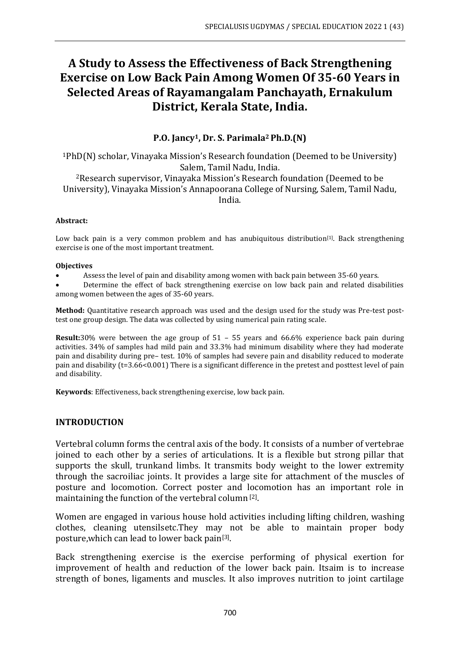# **A Study to Assess the Effectiveness of Back Strengthening Exercise on Low Back Pain Among Women Of 35-60 Years in Selected Areas of Rayamangalam Panchayath, Ernakulum District, Kerala State, India.**

# **P.O. Jancy1, Dr. S. Parimala2 Ph.D.(N)**

<sup>1</sup>PhD(N) scholar, Vinayaka Mission's Research foundation (Deemed to be University) Salem, Tamil Nadu, India. <sup>2</sup>Research supervisor, Vinayaka Mission's Research foundation (Deemed to be University), Vinayaka Mission's Annapoorana College of Nursing, Salem, Tamil Nadu, India.

#### **Abstract:**

Low back pain is a very common problem and has anubiquitous distribution<sup>[1]</sup>. Back strengthening exercise is one of the most important treatment.

#### **Objectives**

- Assess the level of pain and disability among women with back pain between 35-60 years.
- Determine the effect of back strengthening exercise on low back pain and related disabilities among women between the ages of 35-60 years.

**Method:** Quantitative research approach was used and the design used for the study was Pre-test posttest one group design. The data was collected by using numerical pain rating scale.

**Result:**30% were between the age group of 51 – 55 years and 66.6% experience back pain during activities. 34% of samples had mild pain and 33.3% had minimum disability where they had moderate pain and disability during pre– test. 10% of samples had severe pain and disability reduced to moderate pain and disability (t=3.66<0.001) There is a significant difference in the pretest and posttest level of pain and disability.

**Keywords**: Effectiveness, back strengthening exercise, low back pain.

#### **INTRODUCTION**

Vertebral column forms the central axis of the body. It consists of a number of vertebrae joined to each other by a series of articulations. It is a flexible but strong pillar that supports the skull, trunkand limbs. It transmits body weight to the lower extremity through the sacroiliac joints. It provides a large site for attachment of the muscles of posture and locomotion. Correct poster and locomotion has an important role in maintaining the function of the vertebral column<sup>[2]</sup>.

Women are engaged in various house hold activities including lifting children, washing clothes, cleaning utensilsetc.They may not be able to maintain proper body posture,which can lead to lower back pain[3] .

Back strengthening exercise is the exercise performing of physical exertion for improvement of health and reduction of the lower back pain. Itsaim is to increase strength of bones, ligaments and muscles. It also improves nutrition to joint cartilage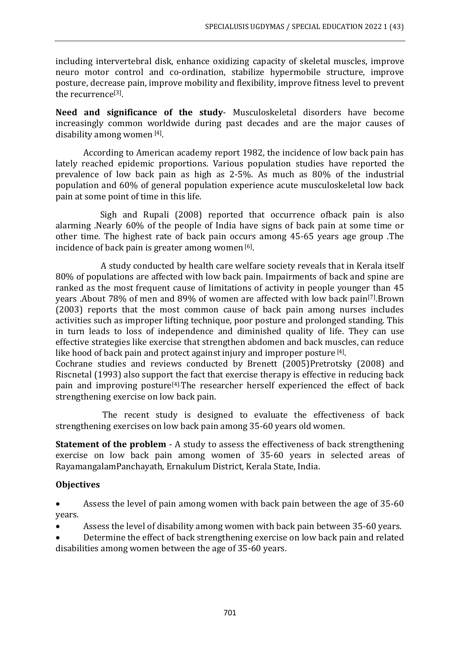including intervertebral disk, enhance oxidizing capacity of skeletal muscles, improve neuro motor control and co-ordination, stabilize hypermobile structure, improve posture, decrease pain, improve mobility and flexibility, improve fitness level to prevent the recurrence<sup>[3]</sup>.

**Need and significance of the study**- Musculoskeletal disorders have become increasingly common worldwide during past decades and are the major causes of disability among women [4].

According to American academy report 1982, the incidence of low back pain has lately reached epidemic proportions. Various population studies have reported the prevalence of low back pain as high as 2-5%. As much as 80% of the industrial population and 60% of general population experience acute musculoskeletal low back pain at some point of time in this life.

Sigh and Rupali (2008) reported that occurrence ofback pain is also alarming .Nearly 60% of the people of India have signs of back pain at some time or other time. The highest rate of back pain occurs among 45-65 years age group .The incidence of back pain is greater among women [6].

A study conducted by health care welfare society reveals that in Kerala itself 80% of populations are affected with low back pain. Impairments of back and spine are ranked as the most frequent cause of limitations of activity in people younger than 45 years .About 78% of men and 89% of women are affected with low back pain[7] .Brown (2003) reports that the most common cause of back pain among nurses includes activities such as improper lifting technique, poor posture and prolonged standing. This in turn leads to loss of independence and diminished quality of life. They can use effective strategies like exercise that strengthen abdomen and back muscles, can reduce like hood of back pain and protect against injury and improper posture [4].

Cochrane studies and reviews conducted by Brenett (2005)Pretrotsky (2008) and Riscnetal (1993) also support the fact that exercise therapy is effective in reducing back pain and improving posture[4].The researcher herself experienced the effect of back strengthening exercise on low back pain.

The recent study is designed to evaluate the effectiveness of back strengthening exercises on low back pain among 35-60 years old women.

**Statement of the problem** - A study to assess the effectiveness of back strengthening exercise on low back pain among women of 35-60 years in selected areas of RayamangalamPanchayath, Ernakulum District, Kerala State, India.

# **Objectives**

• Assess the level of pain among women with back pain between the age of 35-60 years.

- Assess the level of disability among women with back pain between 35-60 years.
- Determine the effect of back strengthening exercise on low back pain and related disabilities among women between the age of 35-60 years.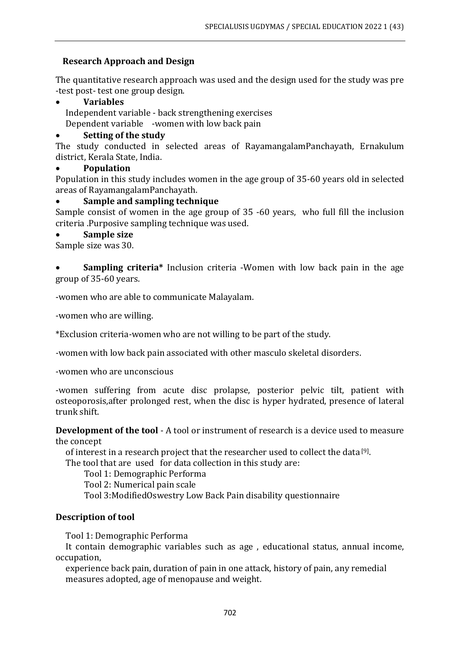# **Research Approach and Design**

The quantitative research approach was used and the design used for the study was pre -test post- test one group design.

#### • **Variables**

 Independent variable - back strengthening exercises Dependent variable -women with low back pain

#### • **Setting of the study**

The study conducted in selected areas of RayamangalamPanchayath, Ernakulum district, Kerala State, India.

#### • **Population**

Population in this study includes women in the age group of 35-60 years old in selected areas of RayamangalamPanchayath.

#### • **Sample and sampling technique**

Sample consist of women in the age group of 35 -60 years, who full fill the inclusion criteria .Purposive sampling technique was used.

#### • **Sample size**

Sample size was 30.

• **Sampling criteria\*** Inclusion criteria -Women with low back pain in the age group of 35-60 years.

-women who are able to communicate Malayalam.

-women who are willing.

\*Exclusion criteria*-*women who are not willing to be part of the study.

*-*women with low back pain associated with other masculo skeletal disorders.

-women who are unconscious

-women suffering from acute disc prolapse, posterior pelvic tilt, patient with osteoporosis,after prolonged rest, when the disc is hyper hydrated, presence of lateral trunk shift.

**Development of the tool** - A tool or instrument of research is a device used to measure the concept

of interest in a research project that the researcher used to collect the data [9] .

The tool that are used for data collection in this study are:

Tool 1: Demographic Performa

Tool 2: Numerical pain scale

Tool 3:ModifiedOswestry Low Back Pain disability questionnaire

#### **Description of tool**

Tool 1: Demographic Performa

 It contain demographic variables such as age , educational status, annual income, occupation,

 experience back pain, duration of pain in one attack, history of pain, any remedial measures adopted, age of menopause and weight.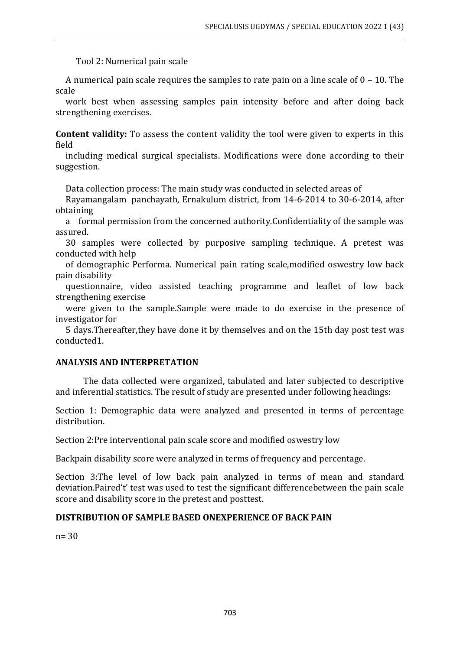Tool 2: Numerical pain scale

 A numerical pain scale requires the samples to rate pain on a line scale of 0 – 10. The scale

 work best when assessing samples pain intensity before and after doing back strengthening exercises.

**Content validity:** To assess the content validity the tool were given to experts in this field

 including medical surgical specialists. Modifications were done according to their suggestion.

Data collection process: The main study was conducted in selected areas of

 Rayamangalam panchayath, Ernakulum district, from 14-6-2014 to 30-6-2014, after obtaining

 a formal permission from the concerned authority.Confidentiality of the sample was assured.

 30 samples were collected by purposive sampling technique. A pretest was conducted with help

 of demographic Performa. Numerical pain rating scale,modified oswestry low back pain disability

 questionnaire, video assisted teaching programme and leaflet of low back strengthening exercise

 were given to the sample.Sample were made to do exercise in the presence of investigator for

 5 days.Thereafter,they have done it by themselves and on the 15th day post test was conducted1.

#### **ANALYSIS AND INTERPRETATION**

The data collected were organized, tabulated and later subjected to descriptive and inferential statistics. The result of study are presented under following headings:

Section 1: Demographic data were analyzed and presented in terms of percentage distribution.

Section 2:Pre interventional pain scale score and modified oswestry low

Backpain disability score were analyzed in terms of frequency and percentage.

Section 3:The level of low back pain analyzed in terms of mean and standard deviation.Paired't' test was used to test the significant differencebetween the pain scale score and disability score in the pretest and posttest.

#### **DISTRIBUTION OF SAMPLE BASED ONEXPERIENCE OF BACK PAIN**

n= 30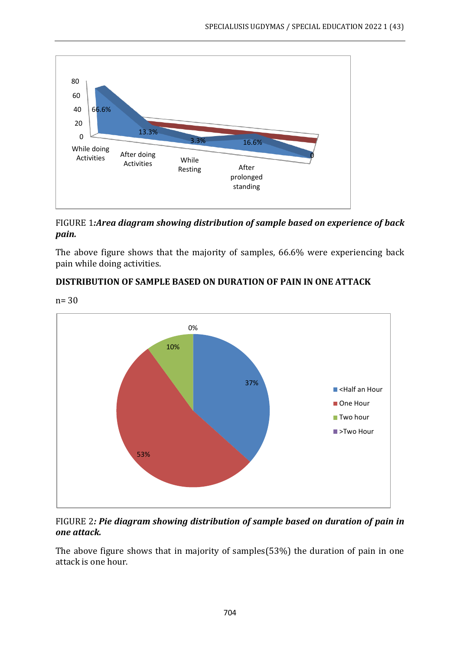

FIGURE 1*:Area diagram showing distribution of sample based on experience of back pain.*

The above figure shows that the majority of samples, 66.6% were experiencing back pain while doing activities.

# **DISTRIBUTION OF SAMPLE BASED ON DURATION OF PAIN IN ONE ATTACK**



FIGURE 2*: Pie diagram showing distribution of sample based on duration of pain in one attack.* 

The above figure shows that in majority of samples(53%) the duration of pain in one attack is one hour.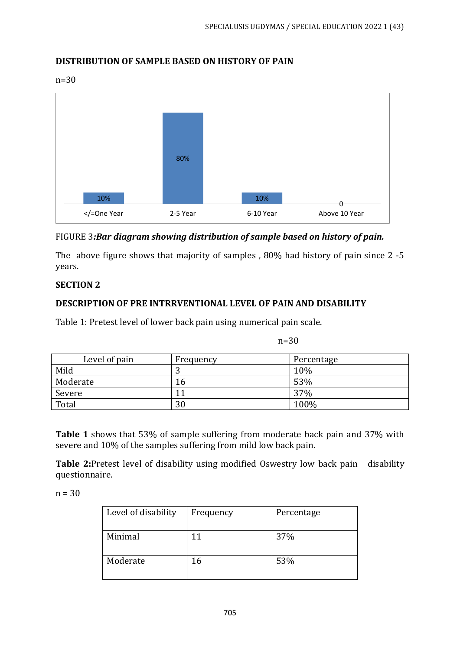# **DISTRIBUTION OF SAMPLE BASED ON HISTORY OF PAIN**

n=30



# FIGURE 3*:Bar diagram showing distribution of sample based on history of pain.*

The above figure shows that majority of samples , 80% had history of pain since 2 -5 years.

# **SECTION 2**

# **DESCRIPTION OF PRE INTRRVENTIONAL LEVEL OF PAIN AND DISABILITY**

Table 1: Pretest level of lower back pain using numerical pain scale.

n=30

| Level of pain | Frequency | Percentage |
|---------------|-----------|------------|
| Mild          |           | 10%        |
| Moderate      | 16        | 53%        |
| Severe        | 11        | 37%        |
| Total         | 30        | 100%       |

**Table 1** shows that 53% of sample suffering from moderate back pain and 37% with severe and 10% of the samples suffering from mild low back pain.

**Table 2:**Pretest level of disability using modified Oswestry low back pain disability questionnaire.

 $n = 30$ 

| Level of disability | Frequency | Percentage |
|---------------------|-----------|------------|
| Minimal             |           | 37%        |
| Moderate            | 16        | 53%        |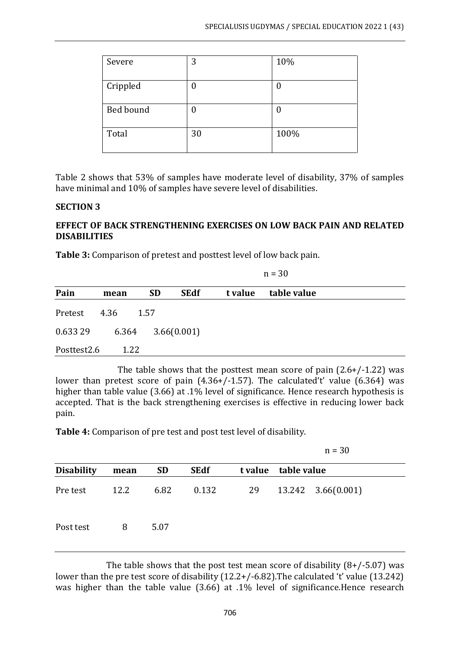| Severe    | 3  | 10%  |
|-----------|----|------|
| Crippled  | 0  |      |
| Bed bound | 0  | 0    |
| Total     | 30 | 100% |

Table 2 shows that 53% of samples have moderate level of disability, 37% of samples have minimal and 10% of samples have severe level of disabilities.

#### **SECTION 3**

#### **EFFECT OF BACK STRENGTHENING EXERCISES ON LOW BACK PAIN AND RELATED DISABILITIES**

**Table 3:** Comparison of pretest and posttest level of low back pain.

|             |       |           | $n = 30$    |         |             |  |  |
|-------------|-------|-----------|-------------|---------|-------------|--|--|
| Pain        | mean  | <b>SD</b> | <b>SEdf</b> | t value | table value |  |  |
| Pretest     | 4.36  | 1.57      |             |         |             |  |  |
| 0.633 29    | 6.364 |           | 3.66(0.001) |         |             |  |  |
| Posttest2.6 | 1.22  |           |             |         |             |  |  |

The table shows that the posttest mean score of pain (2.6+/-1.22) was lower than pretest score of pain (4.36+/-1.57). The calculated't' value (6.364) was higher than table value (3.66) at .1% level of significance. Hence research hypothesis is accepted. That is the back strengthening exercises is effective in reducing lower back pain.

**Table 4:** Comparison of pre test and post test level of disability.

|                   |      |           |             |         |             | $n = 30$ |  |
|-------------------|------|-----------|-------------|---------|-------------|----------|--|
| <b>Disability</b> | mean | <b>SD</b> | <b>SEdf</b> | t value | table value |          |  |
| Pre test          | 12.2 | 6.82      | 0.132       | 29      |             |          |  |
| Post test         | 8    | 5.07      |             |         |             |          |  |

The table shows that the post test mean score of disability  $(8+/5.07)$  was lower than the pre test score of disability (12.2+/-6.82).The calculated 't' value (13.242) was higher than the table value (3.66) at .1% level of significance.Hence research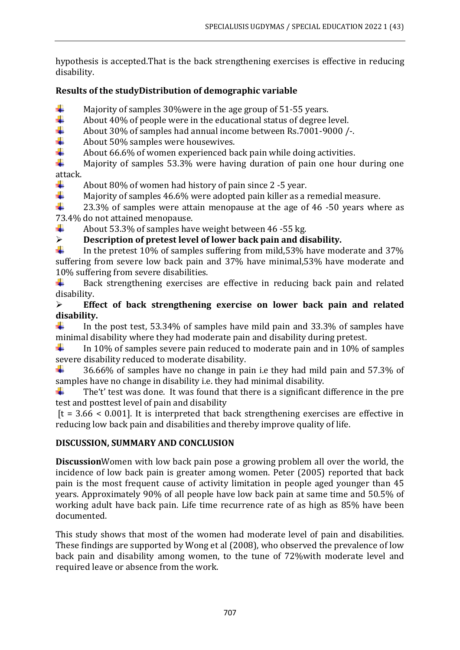hypothesis is accepted.That is the back strengthening exercises is effective in reducing disability.

# **Results of the studyDistribution of demographic variable**

- ÷ Majority of samples 30%were in the age group of 51-55 years.
- ÷ About 40% of people were in the educational status of degree level.
- 4 About 30% of samples had annual income between Rs.7001-9000 /-.
- 4 About 50% samples were housewives.
- ÷ About 66.6% of women experienced back pain while doing activities.

÷ Majority of samples 53.3% were having duration of pain one hour during one attack.

÷ About 80% of women had history of pain since 2 -5 year.

4. Majority of samples 46.6% were adopted pain killer as a remedial measure.

÷ 23.3% of samples were attain menopause at the age of 46 -50 years where as 73.4% do not attained menopause.

÷ About 53.3% of samples have weight between 46 -55 kg.

# ➢ **Description of pretest level of lower back pain and disability.**

In the pretest 10% of samples suffering from mild,53% have moderate and 37% suffering from severe low back pain and 37% have minimal,53% have moderate and 10% suffering from severe disabilities.

÷ Back strengthening exercises are effective in reducing back pain and related disability.

# ➢ **Effect of back strengthening exercise on lower back pain and related disability.**

÷ In the post test, 53.34% of samples have mild pain and 33.3% of samples have minimal disability where they had moderate pain and disability during pretest.

۰. In 10% of samples severe pain reduced to moderate pain and in 10% of samples severe disability reduced to moderate disability.

÷. 36.66% of samples have no change in pain i.e they had mild pain and 57.3% of samples have no change in disability i.e. they had minimal disability.

The't' test was done. It was found that there is a significant difference in the pre ۰. test and posttest level of pain and disability

 $[t = 3.66 < 0.001]$ . It is interpreted that back strengthening exercises are effective in reducing low back pain and disabilities and thereby improve quality of life.

# **DISCUSSION, SUMMARY AND CONCLUSION**

**Discussion**Women with low back pain pose a growing problem all over the world, the incidence of low back pain is greater among women. Peter (2005) reported that back pain is the most frequent cause of activity limitation in people aged younger than 45 years. Approximately 90% of all people have low back pain at same time and 50.5% of working adult have back pain. Life time recurrence rate of as high as 85% have been documented.

This study shows that most of the women had moderate level of pain and disabilities. These findings are supported by Wong et al (2008), who observed the prevalence of low back pain and disability among women, to the tune of 72%with moderate level and required leave or absence from the work.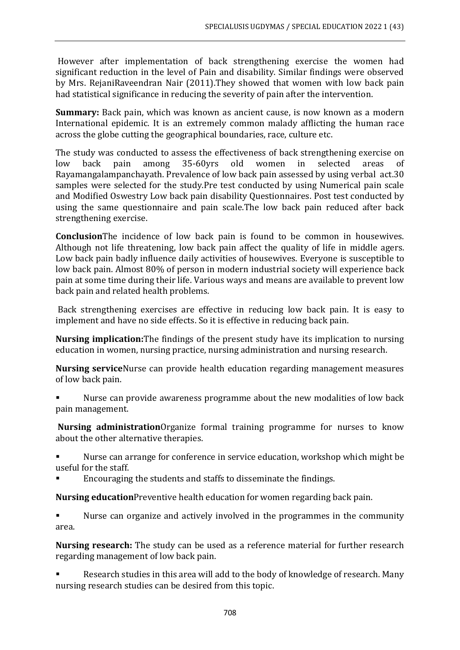However after implementation of back strengthening exercise the women had significant reduction in the level of Pain and disability. Similar findings were observed by Mrs. RejaniRaveendran Nair (2011).They showed that women with low back pain had statistical significance in reducing the severity of pain after the intervention.

**Summary:** Back pain, which was known as ancient cause, is now known as a modern International epidemic. It is an extremely common malady afflicting the human race across the globe cutting the geographical boundaries, race, culture etc.

The study was conducted to assess the effectiveness of back strengthening exercise on low back pain among 35-60yrs old women in selected areas of Rayamangalampanchayath. Prevalence of low back pain assessed by using verbal act.30 samples were selected for the study.Pre test conducted by using Numerical pain scale and Modified Oswestry Low back pain disability Questionnaires. Post test conducted by using the same questionnaire and pain scale.The low back pain reduced after back strengthening exercise.

**Conclusion**The incidence of low back pain is found to be common in housewives. Although not life threatening, low back pain affect the quality of life in middle agers. Low back pain badly influence daily activities of housewives. Everyone is susceptible to low back pain. Almost 80% of person in modern industrial society will experience back pain at some time during their life. Various ways and means are available to prevent low back pain and related health problems.

Back strengthening exercises are effective in reducing low back pain. It is easy to implement and have no side effects. So it is effective in reducing back pain.

**Nursing implication:**The findings of the present study have its implication to nursing education in women, nursing practice, nursing administration and nursing research.

**Nursing service**Nurse can provide health education regarding management measures of low back pain.

- Nurse can provide awareness programme about the new modalities of low back pain management.
- **Nursing administration**Organize formal training programme for nurses to know about the other alternative therapies.
- Nurse can arrange for conference in service education, workshop which might be useful for the staff.
- Encouraging the students and staffs to disseminate the findings.
- **Nursing education**Preventive health education for women regarding back pain.
- Nurse can organize and actively involved in the programmes in the community area.

**Nursing research:** The study can be used as a reference material for further research regarding management of low back pain.

Research studies in this area will add to the body of knowledge of research. Many nursing research studies can be desired from this topic.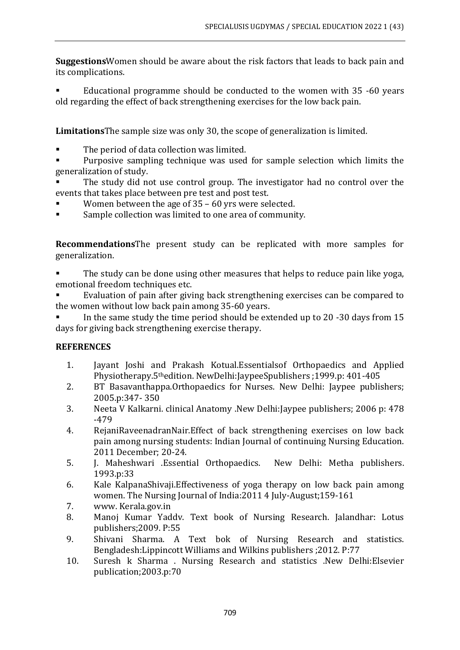**Suggestions**Women should be aware about the risk factors that leads to back pain and its complications.

Educational programme should be conducted to the women with 35 -60 years old regarding the effect of back strengthening exercises for the low back pain.

**Limitations**The sample size was only 30, the scope of generalization is limited.

The period of data collection was limited.

Purposive sampling technique was used for sample selection which limits the generalization of study.

- The study did not use control group. The investigator had no control over the events that takes place between pre test and post test.
- Women between the age of  $35 60$  yrs were selected.
- Sample collection was limited to one area of community.

**Recommendations**The present study can be replicated with more samples for generalization.

The study can be done using other measures that helps to reduce pain like yoga, emotional freedom techniques etc.

Evaluation of pain after giving back strengthening exercises can be compared to the women without low back pain among 35-60 years.

In the same study the time period should be extended up to 20 -30 days from  $15$ days for giving back strengthening exercise therapy.

# **REFERENCES**

- 1. Jayant Joshi and Prakash Kotual.Essentialsof Orthopaedics and Applied Physiotherapy.5thedition. NewDelhi:JaypeeSpublishers ;1999.p: 401-405
- 2. BT Basavanthappa.Orthopaedics for Nurses. New Delhi: Jaypee publishers; 2005.p:347- 350
- 3. Neeta V Kalkarni. clinical Anatomy .New Delhi:Jaypee publishers; 2006 p: 478 -479
- 4. RejaniRaveenadranNair.Effect of back strengthening exercises on low back pain among nursing students: Indian Journal of continuing Nursing Education. 2011 December; 20-24.
- 5. J. Maheshwari .Essential Orthopaedics. New Delhi: Metha publishers. 1993.p:33
- 6. Kale KalpanaShivaji.Effectiveness of yoga therapy on low back pain among women. The Nursing Journal of India:2011 4 July-August;159-161
- 7. www. Kerala.gov.in
- 8. Manoj Kumar Yaddv. Text book of Nursing Research. Jalandhar: Lotus publishers;2009. P:55
- 9. Shivani Sharma. A Text bok of Nursing Research and statistics. Bengladesh:Lippincott Williams and Wilkins publishers ;2012. P:77
- 10. Suresh k Sharma . Nursing Research and statistics .New Delhi:Elsevier publication;2003.p:70